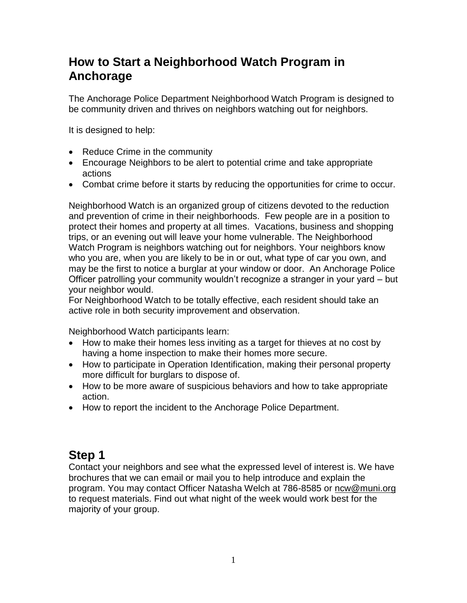### **How to Start a Neighborhood Watch Program in Anchorage**

The Anchorage Police Department Neighborhood Watch Program is designed to be community driven and thrives on neighbors watching out for neighbors.

It is designed to help:

- Reduce Crime in the community
- Encourage Neighbors to be alert to potential crime and take appropriate actions
- Combat crime before it starts by reducing the opportunities for crime to occur.

Neighborhood Watch is an organized group of citizens devoted to the reduction and prevention of crime in their neighborhoods. Few people are in a position to protect their homes and property at all times. Vacations, business and shopping trips, or an evening out will leave your home vulnerable. The Neighborhood Watch Program is neighbors watching out for neighbors. Your neighbors know who you are, when you are likely to be in or out, what type of car you own, and may be the first to notice a burglar at your window or door. An Anchorage Police Officer patrolling your community wouldn't recognize a stranger in your yard – but your neighbor would.

For Neighborhood Watch to be totally effective, each resident should take an active role in both security improvement and observation.

Neighborhood Watch participants learn:

- How to make their homes less inviting as a target for thieves at no cost by having a home inspection to make their homes more secure.
- How to participate in Operation Identification, making their personal property more difficult for burglars to dispose of.
- How to be more aware of suspicious behaviors and how to take appropriate action.
- How to report the incident to the Anchorage Police Department.

### **Step 1**

Contact your neighbors and see what the expressed level of interest is. We have brochures that we can email or mail you to help introduce and explain the program. You may contact Officer Natasha Welch at 786-8585 or [ncw@muni.org](mailto:ncw@muni.org) to request materials. Find out what night of the week would work best for the majority of your group.